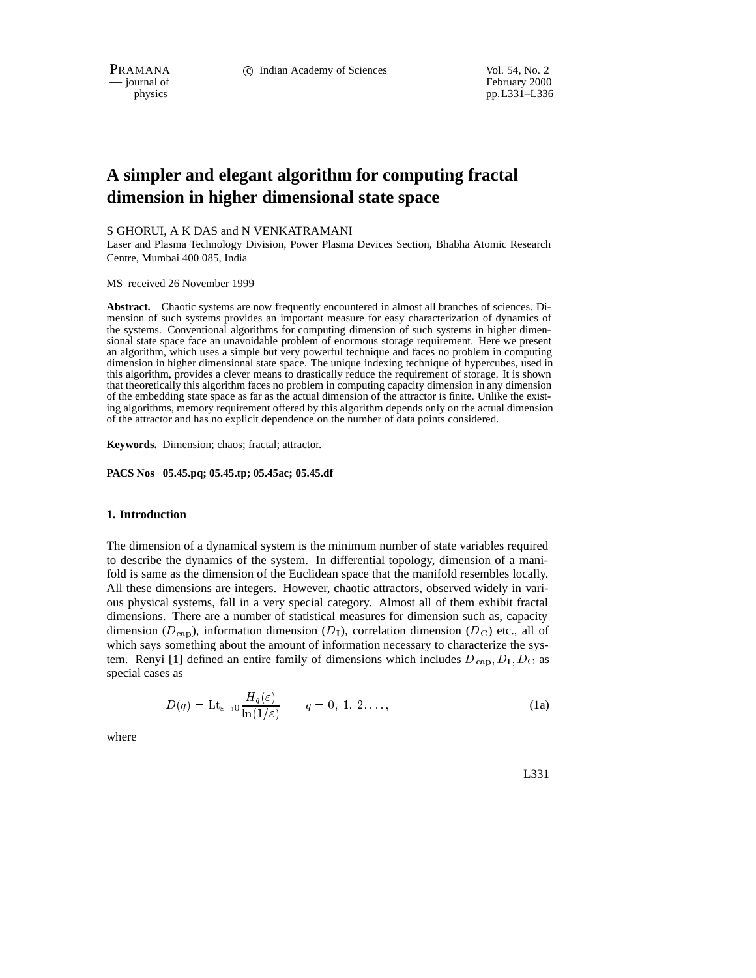February 2000 physics pp.L331–L336

# **A simpler and elegant algorithm for computing fractal dimension in higher dimensional state space**

## S GHORUI, A K DAS and N VENKATRAMANI

Laser and Plasma Technology Division, Power Plasma Devices Section, Bhabha Atomic Research Centre, Mumbai 400 085, India

MS received 26 November 1999

**Abstract.** Chaotic systems are now frequently encountered in almost all branches of sciences. Dimension of such systems provides an important measure for easy characterization of dynamics of the systems. Conventional algorithms for computing dimension of such systems in higher dimensional state space face an unavoidable problem of enormous storage requirement. Here we present an algorithm, which uses a simple but very powerful technique and faces no problem in computing dimension in higher dimensional state space. The unique indexing technique of hypercubes, used in this algorithm, provides a clever means to drastically reduce the requirement of storage. It is shown that theoretically this algorithm faces no problem in computing capacity dimension in any dimension of the embedding state space as far as the actual dimension of the attractor is finite. Unlike the existing algorithms, memory requirement offered by this algorithm depends only on the actual dimension of the attractor and has no explicit dependence on the number of data points considered.

**Keywords.** Dimension; chaos; fractal; attractor.

**PACS Nos 05.45.pq; 05.45.tp; 05.45ac; 05.45.df**

### **1. Introduction**

The dimension of a dynamical system is the minimum number of state variables required to describe the dynamics of the system. In differential topology, dimension of a manifold is same as the dimension of the Euclidean space that the manifold resembles locally. All these dimensions are integers. However, chaotic attractors, observed widely in various physical systems, fall in a very special category. Almost all of them exhibit fractal dimensions. There are a number of statistical measures for dimension such as, capacity dimension ( $D_{\text{cap}}$ ), information dimension ( $D_1$ ), correlation dimension ( $D_{\text{C}}$ ) etc., all of which says something about the amount of information necessary to characterize the system. Renyi [1] defined an entire family of dimensions which includes  $D_{\text{cap}}$ ,  $D_I$ ,  $D_C$  as special cases as

$$
D(q) = \mathrm{Lt}_{\varepsilon \to 0} \frac{H_q(\varepsilon)}{\ln(1/\varepsilon)} \qquad q = 0, 1, 2, \dots,
$$
 (1a)

where

L331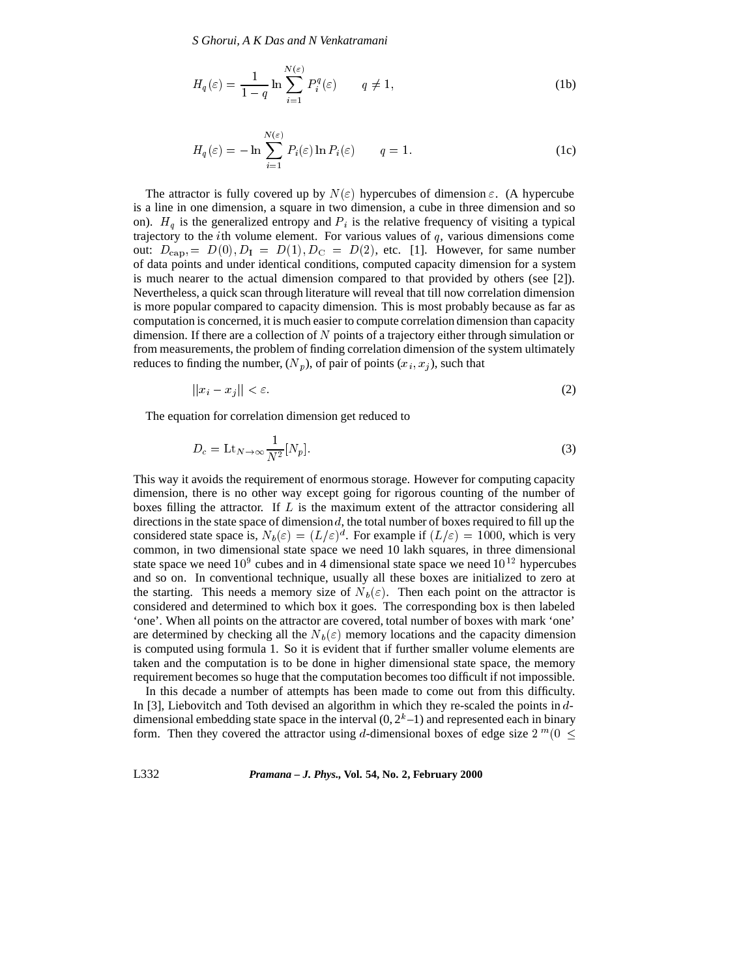*S Ghorui, A K Das and N Venkatramani*

$$
H_q(\varepsilon) = \frac{1}{1-q} \ln \sum_{i=1}^{N(\varepsilon)} P_i^q(\varepsilon) \qquad q \neq 1,
$$
 (1b)

$$
H_q(\varepsilon) = -\ln \sum_{i=1}^{N(\varepsilon)} P_i(\varepsilon) \ln P_i(\varepsilon) \qquad q = 1.
$$
 (1c)

The attractor is fully covered up by  $N(\varepsilon)$  hypercubes of dimension  $\varepsilon$ . (A hypercube is a line in one dimension, a square in two dimension, a cube in three dimension and so on).  $H_q$  is the generalized entropy and  $P_i$  is the relative frequency of visiting a typical trajectory to the *i*th volume element. For various values of  $q$ , various dimensions come out:  $D_{\text{cap}} = D(0), D_{\text{I}} = D(1), D_{\text{C}} = D(2)$ , etc. [1]. However, for same number of data points and under identical conditions, computed capacity dimension for a system is much nearer to the actual dimension compared to that provided by others (see [2]). Nevertheless, a quick scan through literature will reveal that till now correlation dimension is more popular compared to capacity dimension. This is most probably because as far as computation is concerned, it is much easier to compute correlation dimension than capacity dimension. If there are a collection of N points of a trajectory either through simulation or from measurements, the problem of finding correlation dimension of the system ultimately reduces to finding the number,  $(N_p)$ , of pair of points  $(x_i, x_j)$ , such that

$$
||x_i - x_j|| < \varepsilon. \tag{2}
$$

The equation for correlation dimension get reduced to

$$
D_c = \text{Lt}_{N \to \infty} \frac{1}{N^2} [N_p]. \tag{3}
$$

This way it avoids the requirement of enormous storage. However for computing capacity dimension, there is no other way except going for rigorous counting of the number of boxes filling the attractor. If  $L$  is the maximum extent of the attractor considering all directions in the state space of dimension  $d$ , the total number of boxes required to fill up the considered state space is,  $N_b(\varepsilon) = (L/\varepsilon)^d$ . For example if  $(L/\varepsilon) = 1000$ , which is very common, in two dimensional state space we need 10 lakh squares, in three dimensional state space we need  $10^9$  cubes and in 4 dimensional state space we need  $10^{12}$  hypercubes and so on. In conventional technique, usually all these boxes are initialized to zero at the starting. This needs a memory size of  $N_b(\varepsilon)$ . Then each point on the attractor is considered and determined to which box it goes. The corresponding box is then labeled 'one'. When all points on the attractor are covered, total number of boxes with mark 'one' are determined by checking all the  $N_b(\varepsilon)$  memory locations and the capacity dimension is computed using formula 1. So it is evident that if further smaller volume elements are taken and the computation is to be done in higher dimensional state space, the memory requirement becomes so huge that the computation becomes too difficult if not impossible.

In this decade a number of attempts has been made to come out from this difficulty. In [3], Liebovitch and Toth devised an algorithm in which they re-scaled the points in <sup>d</sup>dimensional embedding state space in the interval  $(0, 2<sup>k</sup>-1)$  and represented each in binary form. Then they covered the attractor using d-dimensional boxes of edge size  $2^m(0 \leq$ 

L332 *Pramana – J. Phys.,* **Vol. 54, No. 2, February 2000**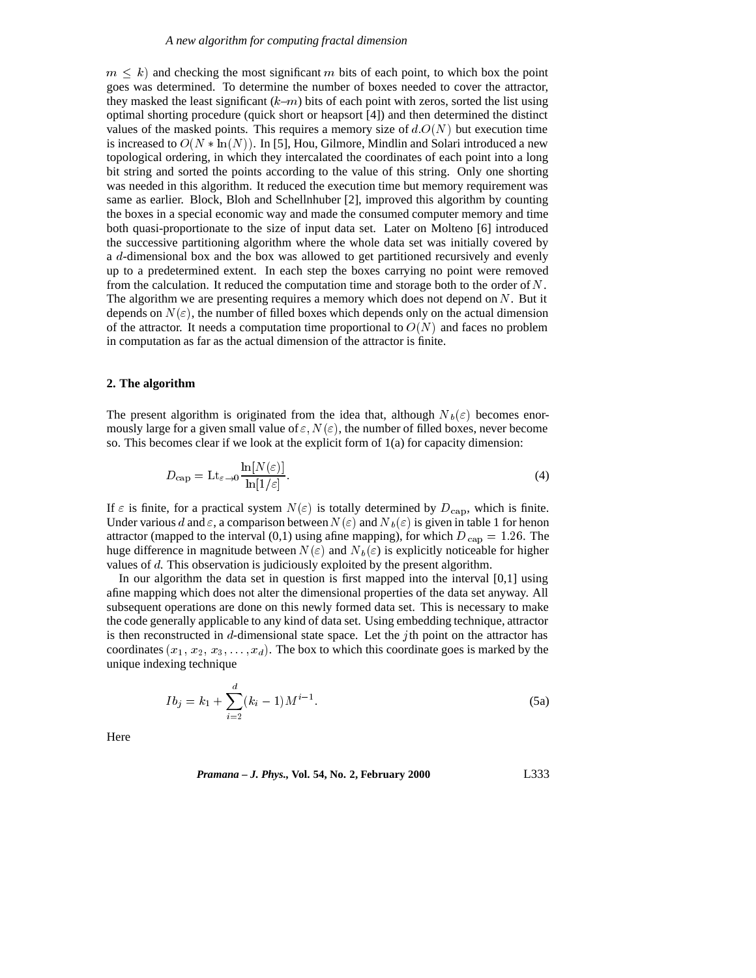#### *A new algorithm for computing fractal dimension*

 $m \leq k$ ) and checking the most significant m bits of each point, to which box the point goes was determined. To determine the number of boxes needed to cover the attractor, they masked the least significant  $(k-m)$  bits of each point with zeros, sorted the list using optimal shorting procedure (quick short or heapsort [4]) and then determined the distinct values of the masked points. This requires a memory size of  $d.O(N)$  but execution time is increased to  $O(N * ln(N))$ . In [5], Hou, Gilmore, Mindlin and Solari introduced a new topological ordering, in which they intercalated the coordinates of each point into a long bit string and sorted the points according to the value of this string. Only one shorting was needed in this algorithm. It reduced the execution time but memory requirement was same as earlier. Block, Bloh and Schellnhuber [2], improved this algorithm by counting the boxes in a special economic way and made the consumed computer memory and time both quasi-proportionate to the size of input data set. Later on Molteno [6] introduced the successive partitioning algorithm where the whole data set was initially covered by a <sup>d</sup>-dimensional box and the box was allowed to get partitioned recursively and evenly up to a predetermined extent. In each step the boxes carrying no point were removed from the calculation. It reduced the computation time and storage both to the order of  $N$ . The algorithm we are presenting requires a memory which does not depend on  $N$ . But it depends on  $N(\varepsilon)$ , the number of filled boxes which depends only on the actual dimension of the attractor. It needs a computation time proportional to  $O(N)$  and faces no problem in computation as far as the actual dimension of the attractor is finite.

#### **2. The algorithm**

The present algorithm is originated from the idea that, although  $N_b(\varepsilon)$  becomes enormously large for a given small value of  $\varepsilon$ ,  $N(\varepsilon)$ , the number of filled boxes, never become so. This becomes clear if we look at the explicit form of  $1(a)$  for capacity dimension:

$$
D_{\text{cap}} = \text{Lt}_{\varepsilon \to 0} \frac{\ln[N(\varepsilon)]}{\ln[1/\varepsilon]}.
$$
\n(4)

If  $\varepsilon$  is finite, for a practical system  $N(\varepsilon)$  is totally determined by  $D_{\text{cap}}$ , which is finite. Under various d and  $\varepsilon$ , a comparison between  $N(\varepsilon)$  and  $N_b(\varepsilon)$  is given in table 1 for henon attractor (mapped to the interval  $(0,1)$  using afine mapping), for which  $D_{\text{cap}} = 1.26$ . The huge difference in magnitude between  $N(\varepsilon)$  and  $N_b(\varepsilon)$  is explicitly noticeable for higher values of <sup>d</sup>. This observation is judiciously exploited by the present algorithm.

In our algorithm the data set in question is first mapped into the interval [0,1] using afine mapping which does not alter the dimensional properties of the data set anyway. All subsequent operations are done on this newly formed data set. This is necessary to make the code generally applicable to any kind of data set. Using embedding technique, attractor is then reconstructed in d-dimensional state space. Let the *j*th point on the attractor has coordinates  $(x_1, x_2, x_3, \ldots, x_d)$ . The box to which this coordinate goes is marked by the unique indexing technique

$$
Ib_j = k_1 + \sum_{i=2}^{a} (k_i - 1)M^{i-1}.
$$
 (5a)

Here

*Pramana – J. Phys.,* **Vol. 54, No. 2, February 2000** L333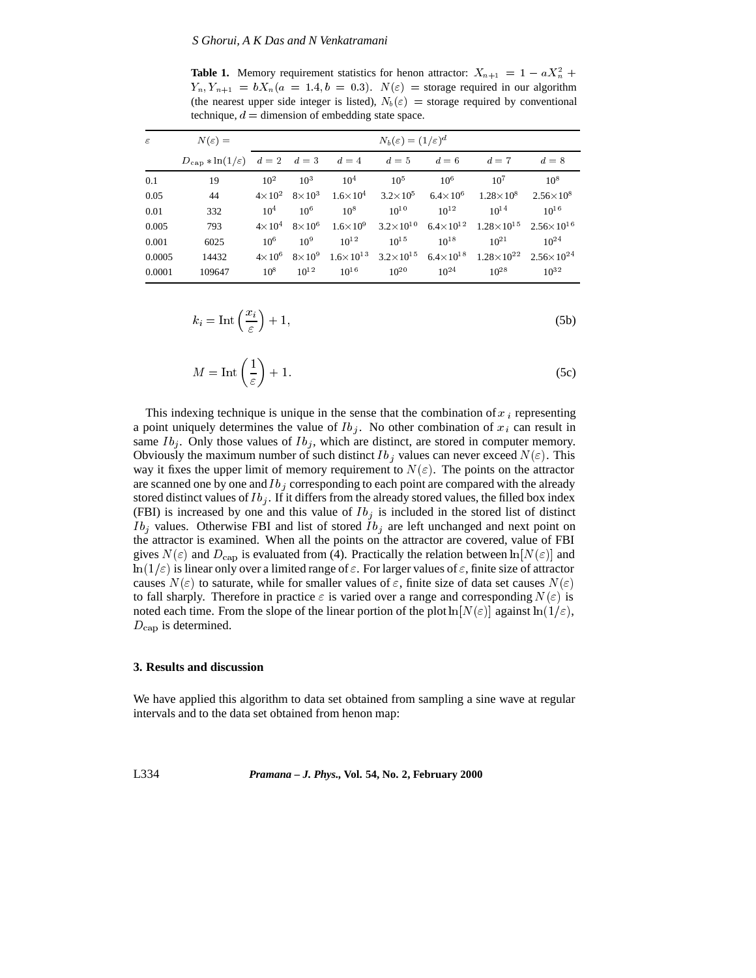**Table 1.** Memory requirement statistics for henon attractor:  $X_{n+1} = 1 - aX_n^2 +$  $Y_n$ ,  $Y_{n+1} = bX_n(a = 1.4, b = 0.3)$ .  $N(\varepsilon) =$  storage required in our algorithm (the nearest upper side integer is listed),  $N_b(\varepsilon)$  = storage required by conventional technique,  $d =$  dimension of embedding state space.

| $\varepsilon$ | $N(\varepsilon) =$                                                                    |                 |               | $N_b(\varepsilon) = (1/\varepsilon)^d$ |                                                       |                    |                                             |                      |
|---------------|---------------------------------------------------------------------------------------|-----------------|---------------|----------------------------------------|-------------------------------------------------------|--------------------|---------------------------------------------|----------------------|
|               | $D_{\text{cap}} * \ln(1/\varepsilon) \quad d = 2 \quad d = 3 \quad d = 4 \quad d = 5$ |                 |               |                                        |                                                       | $d=6$              | $d=7$                                       | $d=8$                |
| 0.1           | 19                                                                                    | $10^{2}$        | $10^{3}$      | $10^{4}$                               | $10^{5}$                                              | $10^{6}$           | $10^{7}$                                    | $10^{8}$             |
| 0.05          | 44                                                                                    | $4 \times 10^2$ | $8\times10^3$ |                                        | $1.6 \times 10^4$ $3.2 \times 10^5$ $6.4 \times 10^6$ |                    | $1.28\times10^{8}$                          | $2.56 \times 10^{8}$ |
| 0.01          | 332                                                                                   | $10^4$          | $10^{6}$      | $10^{8}$                               | $10^{10}$                                             | $10^{12}$          | $10^{14}$                                   | $10^{16}$            |
| 0.005         | 793                                                                                   | $4\times10^4$   | $8\times10^6$ | $1.6\times10^{9}$                      | $3.2\times10^{10}$                                    | $6.4\times10^{12}$ | $1.28 \times 10^{15}$ $2.56 \times 10^{16}$ |                      |
| 0.001         | 6025                                                                                  | $10^{6}$        | $10^{9}$      | $10^{12}$                              | $10^{15}$                                             | $10^{18}$          | $10^{21}$                                   | $10^{24}$            |
| 0.0005        | 14432                                                                                 | $4\times10^6$   | $8\times10^9$ | $1.6\times10^{13}$                     | $3.2 \times 10^{15}$                                  | $6.4\times10^{18}$ | $1.28 \times 10^{22}$ $2.56 \times 10^{24}$ |                      |
| 0.0001        | 109647                                                                                | $10^8$          | $10^{12}$     | $10^{16}$                              | $10^{20}$                                             | $10^{24}$          | $10^{28}$                                   | $10^{32}$            |

$$
k_i = \text{Int}\left(\frac{x_i}{\varepsilon}\right) + 1,\tag{5b}
$$

$$
M = \text{Int}\left(\frac{1}{\varepsilon}\right) + 1. \tag{5c}
$$

This indexing technique is unique in the sense that the combination of  $x_i$  representing a point uniquely determines the value of  $Ib_j$ . No other combination of  $x_i$  can result in same  $Ib_j$ . Only those values of  $Ib_j$ , which are distinct, are stored in computer memory. Obviously the maximum number of such distinct Ib i values can never exceed  $N(\varepsilon)$ . This way it fixes the upper limit of memory requirement to  $N(\varepsilon)$ . The points on the attractor are scanned one by one and  $Ib_j$  corresponding to each point are compared with the already stored distinct values of  $Ib_j$ . If it differs from the already stored values, the filled box index (FBI) is increased by one and this value of  $Ib_j$  is included in the stored list of distinct  $I_{b_i}$  values. Otherwise FBI and list of stored  $I_{b_i}$  are left unchanged and next point on the attractor is examined. When all the points on the attractor are covered, value of FBI gives  $N(\varepsilon)$  and  $D_{\text{cap}}$  is evaluated from (4). Practically the relation between  $\ln[N(\varepsilon)]$  and  $\ln(1/\varepsilon)$  is linear only over a limited range of  $\varepsilon$ . For larger values of  $\varepsilon$ , finite size of attractor causes  $N(\varepsilon)$  to saturate, while for smaller values of  $\varepsilon$ , finite size of data set causes  $N(\varepsilon)$ to fall sharply. Therefore in practice  $\varepsilon$  is varied over a range and corresponding  $N(\varepsilon)$  is noted each time. From the slope of the linear portion of the plot  $\ln[N(\varepsilon)]$  against  $\ln(1/\varepsilon)$ ,  $D_{\text{cap}}$  is determined.

#### **3. Results and discussion**

We have applied this algorithm to data set obtained from sampling a sine wave at regular intervals and to the data set obtained from henon map:

L334 *Pramana – J. Phys.,* **Vol. 54, No. 2, February 2000**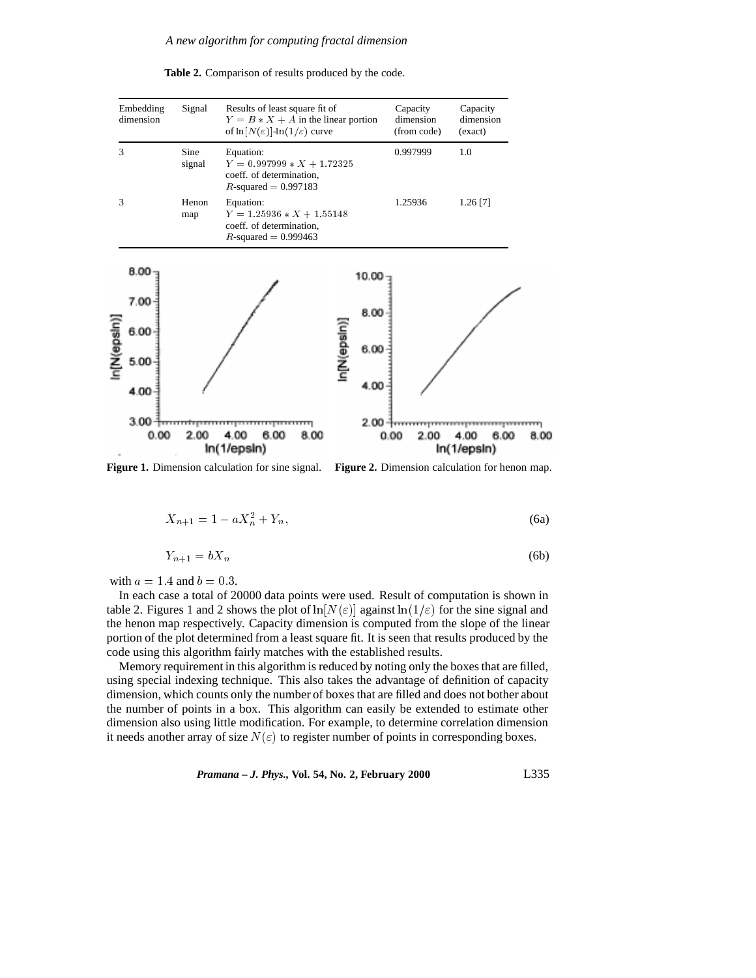

**Table 2.** Comparison of results produced by the code.

**Figure 1.** Dimension calculation for sine signal. **Figure 2.** Dimension calculation for henon map.

$$
X_{n+1} = 1 - aX_n^2 + Y_n,\tag{6a}
$$

In(1/epsin)

$$
Y_{n+1} = bX_n \tag{6b}
$$

with  $a = 1.4$  and  $b = 0.3$ .

In each case a total of 20000 data points were used. Result of computation is shown in table 2. Figures 1 and 2 shows the plot of  $\ln[N(\varepsilon)]$  against  $\ln(1/\varepsilon)$  for the sine signal and the henon map respectively. Capacity dimension is computed from the slope of the linear portion of the plot determined from a least square fit. It is seen that results produced by the code using this algorithm fairly matches with the established results.

Memory requirement in this algorithm is reduced by noting only the boxes that are filled, using special indexing technique. This also takes the advantage of definition of capacity dimension, which counts only the number of boxes that are filled and does not bother about the number of points in a box. This algorithm can easily be extended to estimate other dimension also using little modification. For example, to determine correlation dimension it needs another array of size  $N(\varepsilon)$  to register number of points in corresponding boxes.

*Pramana – J. Phys.,* **Vol. 54, No. 2, February 2000** L335